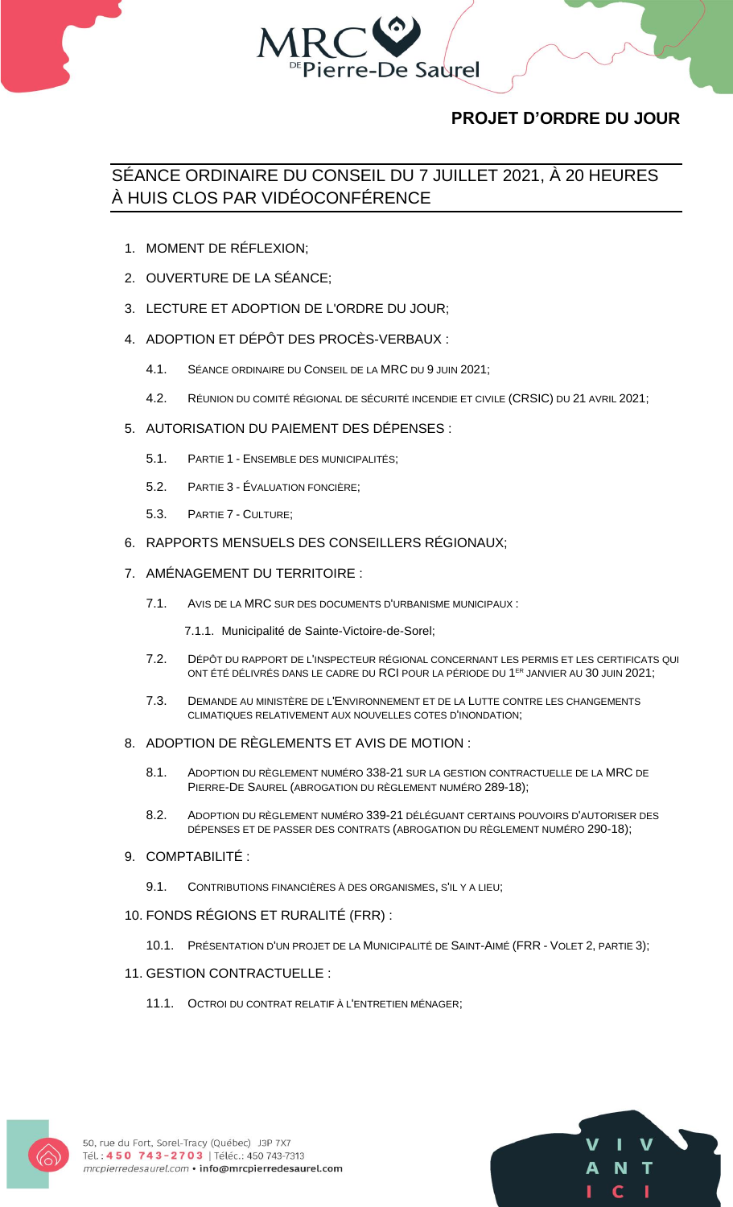

## **PROJET D'ORDRE DU JOUR**

# SÉANCE ORDINAIRE DU CONSEIL DU 7 JUILLET 2021, À 20 HEURES À HUIS CLOS PAR VIDÉOCONFÉRENCE

- 1. MOMENT DE RÉFLEXION;
- 2. OUVERTURE DE LA SÉANCE;
- 3. LECTURE ET ADOPTION DE L'ORDRE DU JOUR;
- 4. ADOPTION ET DÉPÔT DES PROCÈS-VERBAUX :
	- 4.1. SÉANCE ORDINAIRE DU CONSEIL DE LA MRC DU 9 JUIN 2021;
	- 4.2. RÉUNION DU COMITÉ RÉGIONAL DE SÉCURITÉ INCENDIE ET CIVILE (CRSIC) DU 21 AVRIL 2021;
- 5. AUTORISATION DU PAIEMENT DES DÉPENSES :
	- 5.1. PARTIE 1 ENSEMBLE DES MUNICIPALITÉS;
	- 5.2. PARTIE 3 ÉVALUATION FONCIÈRE;
	- 5.3. PARTIE 7 CULTURE;
- 6. RAPPORTS MENSUELS DES CONSEILLERS RÉGIONAUX;
- 7. AMÉNAGEMENT DU TERRITOIRE :
	- 7.1. AVIS DE LA MRC SUR DES DOCUMENTS D'URBANISME MUNICIPAUX :
		- 7.1.1. Municipalité de Sainte-Victoire-de-Sorel;
	- 7.2. DÉPÔT DU RAPPORT DE L'INSPECTEUR RÉGIONAL CONCERNANT LES PERMIS ET LES CERTIFICATS QUI ONT ÉTÉ DÉLIVRÉS DANS LE CADRE DU RCI POUR LA PÉRIODE DU 1 ER JANVIER AU 30 JUIN 2021;
	- 7.3. DEMANDE AU MINISTÈRE DE L'ENVIRONNEMENT ET DE LA LUTTE CONTRE LES CHANGEMENTS CLIMATIQUES RELATIVEMENT AUX NOUVELLES COTES D'INONDATION;
- 8. ADOPTION DE RÈGLEMENTS ET AVIS DE MOTION :
	- 8.1. ADOPTION DU RÈGLEMENT NUMÉRO 338-21 SUR LA GESTION CONTRACTUELLE DE LA MRC DE PIERRE-DE SAUREL (ABROGATION DU RÈGLEMENT NUMÉRO 289-18);
	- 8.2. ADOPTION DU RÈGLEMENT NUMÉRO 339-21 DÉLÉGUANT CERTAINS POUVOIRS D'AUTORISER DES DÉPENSES ET DE PASSER DES CONTRATS (ABROGATION DU RÈGLEMENT NUMÉRO 290-18);
- 9. COMPTABILITÉ :
	- 9.1. CONTRIBUTIONS FINANCIÈRES À DES ORGANISMES, S'IL Y A LIEU;
- 10. FONDS RÉGIONS ET RURALITÉ (FRR) :
	- 10.1. PRÉSENTATION D'UN PROJET DE LA MUNICIPALITÉ DE SAINT-AIMÉ (FRR VOLET 2, PARTIE 3);

### 11. GESTION CONTRACTUELLE :

11.1. OCTROI DU CONTRAT RELATIF À L'ENTRETIEN MÉNAGER;